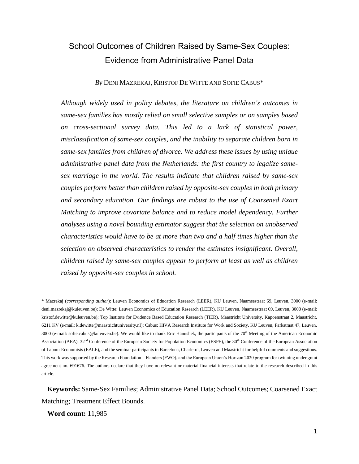# School Outcomes of Children Raised by Same-Sex Couples: Evidence from Administrative Panel Data

## *By* DENI MAZREKAJ, KRISTOF DE WITTE AND SOFIE CABUS\*

*Although widely used in policy debates, the literature on children's outcomes in same-sex families has mostly relied on small selective samples or on samples based on cross-sectional survey data. This led to a lack of statistical power, misclassification of same-sex couples, and the inability to separate children born in same-sex families from children of divorce. We address these issues by using unique administrative panel data from the Netherlands: the first country to legalize samesex marriage in the world. The results indicate that children raised by same-sex couples perform better than children raised by opposite-sex couples in both primary and secondary education. Our findings are robust to the use of Coarsened Exact Matching to improve covariate balance and to reduce model dependency. Further analyses using a novel bounding estimator suggest that the selection on unobserved characteristics would have to be at more than two and a half times higher than the selection on observed characteristics to render the estimates insignificant. Overall, children raised by same-sex couples appear to perform at least as well as children raised by opposite-sex couples in school.*

\* Mazrekaj (*corresponding author*): Leuven Economics of Education Research (LEER), KU Leuven, Naamsestraat 69, Leuven, 3000 (e-mail: deni.mazrekaj@kuleuven.be); De Witte: Leuven Economics of Education Research (LEER), KU Leuven, Naamsestraat 69, Leuven, 3000 (e-mail: kristof.dewitte@kuleuven.be); Top Institute for Evidence Based Education Research (TIER), Maastricht University, Kapoenstraat 2, Maastricht, 6211 KV (e-mail: k.dewitte@maastrichtuniversity.nl); Cabus: HIVA Research Institute for Work and Society, KU Leuven, Parkstraat 47, Leuven, 3000 (e-mail: sofie.cabus@kuleuven.be). We would like to thank Eric Hanushek, the participants of the 70<sup>th</sup> Meeting of the American Economic Association (AEA), 32<sup>nd</sup> Conference of the European Society for Population Economics (ESPE), the 30<sup>th</sup> Conference of the European Association of Labour Economists (EALE), and the seminar participants in Barcelona, Charleroi, Leuven and Maastricht for helpful comments and suggestions. This work was supported by the Research Foundation – Flanders (FWO), and the European Union's Horizon 2020 program for twinning under grant agreement no. 691676. The authors declare that they have no relevant or material financial interests that relate to the research described in this article.

**Keywords:** Same-Sex Families; Administrative Panel Data; School Outcomes; Coarsened Exact Matching; Treatment Effect Bounds.

**Word count:** 11,985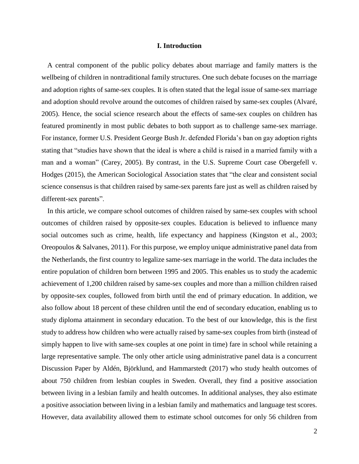## **I. Introduction**

A central component of the public policy debates about marriage and family matters is the wellbeing of children in nontraditional family structures. One such debate focuses on the marriage and adoption rights of same-sex couples. It is often stated that the legal issue of same-sex marriage and adoption should revolve around the outcomes of children raised by same-sex couples (Alvaré, 2005). Hence, the social science research about the effects of same-sex couples on children has featured prominently in most public debates to both support as to challenge same-sex marriage. For instance, former U.S. President George Bush Jr. defended Florida's ban on gay adoption rights stating that "studies have shown that the ideal is where a child is raised in a married family with a man and a woman" (Carey, 2005). By contrast, in the U.S. Supreme Court case Obergefell v. Hodges (2015), the American Sociological Association states that "the clear and consistent social science consensus is that children raised by same-sex parents fare just as well as children raised by different-sex parents".

In this article, we compare school outcomes of children raised by same-sex couples with school outcomes of children raised by opposite-sex couples. Education is believed to influence many social outcomes such as crime, health, life expectancy and happiness (Kingston et al., 2003; Oreopoulos & Salvanes, 2011). For this purpose, we employ unique administrative panel data from the Netherlands, the first country to legalize same-sex marriage in the world. The data includes the entire population of children born between 1995 and 2005. This enables us to study the academic achievement of 1,200 children raised by same-sex couples and more than a million children raised by opposite-sex couples, followed from birth until the end of primary education. In addition, we also follow about 18 percent of these children until the end of secondary education, enabling us to study diploma attainment in secondary education. To the best of our knowledge, this is the first study to address how children who were actually raised by same-sex couples from birth (instead of simply happen to live with same-sex couples at one point in time) fare in school while retaining a large representative sample. The only other article using administrative panel data is a concurrent Discussion Paper by Aldén, Björklund, and Hammarstedt (2017) who study health outcomes of about 750 children from lesbian couples in Sweden. Overall, they find a positive association between living in a lesbian family and health outcomes. In additional analyses, they also estimate a positive association between living in a lesbian family and mathematics and language test scores. However, data availability allowed them to estimate school outcomes for only 56 children from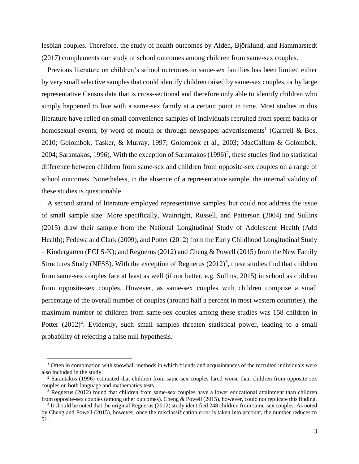lesbian couples. Therefore, the study of health outcomes by Aldén, Björklund, and Hammarstedt (2017) complements our study of school outcomes among children from same-sex couples.

Previous literature on children's school outcomes in same-sex families has been limited either by very small selective samples that could identify children raised by same-sex couples, or by large representative Census data that is cross-sectional and therefore only able to identify children who simply happened to live with a same-sex family at a certain point in time. Most studies in this literature have relied on small convenience samples of individuals recruited from sperm banks or homosexual events, by word of mouth or through newspaper advertisements<sup>1</sup> (Gartrell & Bos, 2010; Golombok, Tasker, & Murray, 1997; Golombok et al., 2003; MacCallum & Golombok, 2004; Sarantakos, 1996). With the exception of Sarantakos  $(1996)^2$ , these studies find no statistical difference between children from same-sex and children from opposite-sex couples on a range of school outcomes. Nonetheless, in the absence of a representative sample, the internal validity of these studies is questionable.

A second strand of literature employed representative samples, but could not address the issue of small sample size. More specifically, Wainright, Russell, and Patterson (2004) and Sullins (2015) draw their sample from the National Longitudinal Study of Adolescent Health (Add Health); Fedewa and Clark (2009), and Potter (2012) from the Early Childhood Longitudinal Study – Kindergarten (ECLS-K); and Regnerus (2012) and Cheng & Powell (2015) from the New Family Structures Study (NFSS). With the exception of Regnerus  $(2012)^3$ , these studies find that children from same-sex couples fare at least as well (if not better, e.g. Sullins, 2015) in school as children from opposite-sex couples. However, as same-sex couples with children comprise a small percentage of the overall number of couples (around half a percent in most western countries), the maximum number of children from same-sex couples among these studies was 158 children in Potter (2012)<sup>4</sup>. Evidently, such small samples threaten statistical power, leading to a small probability of rejecting a false null hypothesis.

 $1$  Often in combination with snowball methods in which friends and acquaintances of the recruited individuals were also included in the study.

<sup>2</sup> Sarantakos (1996) estimated that children from same-sex couples fared worse than children from opposite-sex couples on both language and mathematics tests.

 $3$  Regnerus (2012) found that children from same-sex couples have a lower educational attainment than children from opposite-sex couples (among other outcomes). Cheng & Powell (2015), however, could not replicate this finding.

<sup>4</sup> It should be noted that the original Regnerus (2012) study identified 248 children from same-sex couples. As noted by Cheng and Powell (2015), however, once the misclassification error is taken into account, the number reduces to 51.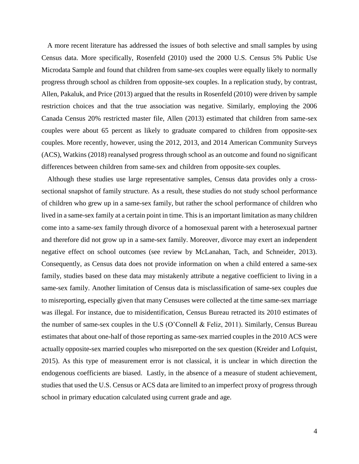A more recent literature has addressed the issues of both selective and small samples by using Census data. More specifically, Rosenfeld (2010) used the 2000 U.S. Census 5% Public Use Microdata Sample and found that children from same-sex couples were equally likely to normally progress through school as children from opposite-sex couples. In a replication study, by contrast, Allen, Pakaluk, and Price (2013) argued that the results in Rosenfeld (2010) were driven by sample restriction choices and that the true association was negative. Similarly, employing the 2006 Canada Census 20% restricted master file, Allen (2013) estimated that children from same-sex couples were about 65 percent as likely to graduate compared to children from opposite-sex couples. More recently, however, using the 2012, 2013, and 2014 American Community Surveys (ACS), Watkins (2018) reanalysed progress through school as an outcome and found no significant differences between children from same-sex and children from opposite-sex couples.

Although these studies use large representative samples, Census data provides only a crosssectional snapshot of family structure. As a result, these studies do not study school performance of children who grew up in a same-sex family, but rather the school performance of children who lived in a same-sex family at a certain point in time. This is an important limitation as many children come into a same-sex family through divorce of a homosexual parent with a heterosexual partner and therefore did not grow up in a same-sex family. Moreover, divorce may exert an independent negative effect on school outcomes (see review by McLanahan, Tach, and Schneider, 2013). Consequently, as Census data does not provide information on when a child entered a same-sex family, studies based on these data may mistakenly attribute a negative coefficient to living in a same-sex family. Another limitation of Census data is misclassification of same-sex couples due to misreporting, especially given that many Censuses were collected at the time same-sex marriage was illegal. For instance, due to misidentification, Census Bureau retracted its 2010 estimates of the number of same-sex couples in the U.S (O'Connell & Feliz, 2011). Similarly, Census Bureau estimates that about one-half of those reporting as same-sex married couples in the 2010 ACS were actually opposite-sex married couples who misreported on the sex question (Kreider and Lofquist, 2015). As this type of measurement error is not classical, it is unclear in which direction the endogenous coefficients are biased. Lastly, in the absence of a measure of student achievement, studies that used the U.S. Census or ACS data are limited to an imperfect proxy of progress through school in primary education calculated using current grade and age.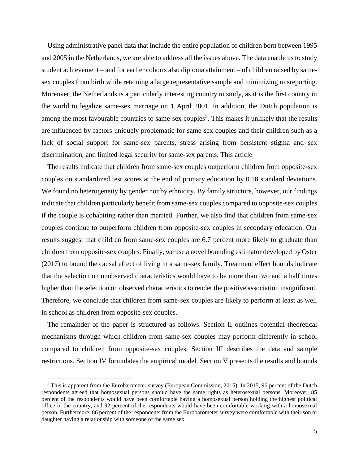Using administrative panel data that include the entire population of children born between 1995 and 2005 in the Netherlands, we are able to address all the issues above. The data enable us to study student achievement – and for earlier cohorts also diploma attainment – of children raised by samesex couples from birth while retaining a large representative sample and minimizing misreporting. Moreover, the Netherlands is a particularly interesting country to study, as it is the first country in the world to legalize same-sex marriage on 1 April 2001. In addition, the Dutch population is among the most favourable countries to same-sex couples<sup>5</sup>. This makes it unlikely that the results are influenced by factors uniquely problematic for same-sex couples and their children such as a lack of social support for same-sex parents, stress arising from persistent stigma and sex discrimination, and limited legal security for same-sex parents. This article

The results indicate that children from same-sex couples outperform children from opposite-sex couples on standardized test scores at the end of primary education by 0.18 standard deviations. We found no heterogeneity by gender nor by ethnicity. By family structure, however, our findings indicate that children particularly benefit from same-sex couples compared to opposite-sex couples if the couple is cohabiting rather than married. Further, we also find that children from same-sex couples continue to outperform children from opposite-sex couples in secondary education. Our results suggest that children from same-sex couples are 6.7 percent more likely to graduate than children from opposite-sex couples. Finally, we use a novel bounding estimator developed by Oster (2017) to bound the causal effect of living in a same-sex family. Treatment effect bounds indicate that the selection on unobserved characteristics would have to be more than two and a half times higher than the selection on observed characteristics to render the positive association insignificant. Therefore, we conclude that children from same-sex couples are likely to perform at least as well in school as children from opposite-sex couples.

The remainder of the paper is structured as follows. Section II outlines potential theoretical mechanisms through which children from same-sex couples may perform differently in school compared to children from opposite-sex couples. Section III describes the data and sample restrictions. Section IV formulates the empirical model. Section V presents the results and bounds

<sup>5</sup> This is apparent from the Eurobarometer survey (European Commission, 2015). In 2015, 96 percent of the Dutch respondents agreed that homosexual persons should have the same rights as heterosexual persons. Moreover, 85 percent of the respondents would have been comfortable having a homosexual person holding the highest political office in the country, and 92 percent of the respondents would have been comfortable working with a homosexual person. Furthermore, 86 percent of the respondents from the Eurobarometer survey were comfortable with their son or daughter having a relationship with someone of the same sex.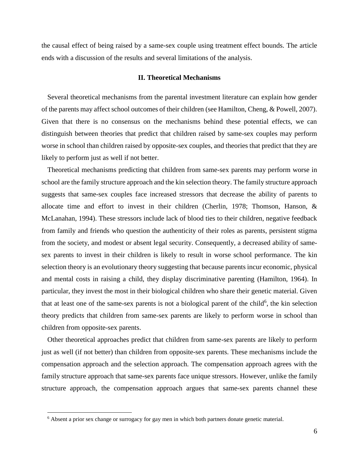the causal effect of being raised by a same-sex couple using treatment effect bounds. The article ends with a discussion of the results and several limitations of the analysis.

## **II. Theoretical Mechanisms**

Several theoretical mechanisms from the parental investment literature can explain how gender of the parents may affect school outcomes of their children (see Hamilton, Cheng, & Powell, 2007). Given that there is no consensus on the mechanisms behind these potential effects, we can distinguish between theories that predict that children raised by same-sex couples may perform worse in school than children raised by opposite-sex couples, and theories that predict that they are likely to perform just as well if not better.

Theoretical mechanisms predicting that children from same-sex parents may perform worse in school are the family structure approach and the kin selection theory. The family structure approach suggests that same-sex couples face increased stressors that decrease the ability of parents to allocate time and effort to invest in their children (Cherlin, 1978; Thomson, Hanson, & McLanahan, 1994). These stressors include lack of blood ties to their children, negative feedback from family and friends who question the authenticity of their roles as parents, persistent stigma from the society, and modest or absent legal security. Consequently, a decreased ability of samesex parents to invest in their children is likely to result in worse school performance. The kin selection theory is an evolutionary theory suggesting that because parents incur economic, physical and mental costs in raising a child, they display discriminative parenting (Hamilton, 1964). In particular, they invest the most in their biological children who share their genetic material. Given that at least one of the same-sex parents is not a biological parent of the child<sup>6</sup>, the kin selection theory predicts that children from same-sex parents are likely to perform worse in school than children from opposite-sex parents.

Other theoretical approaches predict that children from same-sex parents are likely to perform just as well (if not better) than children from opposite-sex parents. These mechanisms include the compensation approach and the selection approach. The compensation approach agrees with the family structure approach that same-sex parents face unique stressors. However, unlike the family structure approach, the compensation approach argues that same-sex parents channel these

<sup>6</sup> Absent a prior sex change or surrogacy for gay men in which both partners donate genetic material.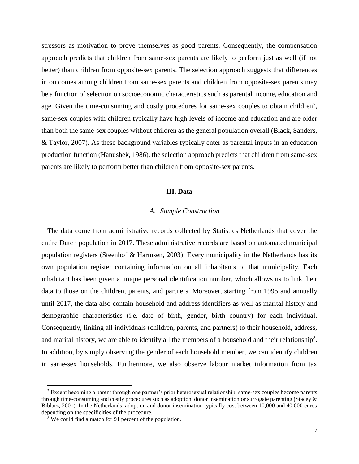stressors as motivation to prove themselves as good parents. Consequently, the compensation approach predicts that children from same-sex parents are likely to perform just as well (if not better) than children from opposite-sex parents. The selection approach suggests that differences in outcomes among children from same-sex parents and children from opposite-sex parents may be a function of selection on socioeconomic characteristics such as parental income, education and age. Given the time-consuming and costly procedures for same-sex couples to obtain children<sup>7</sup>, same-sex couples with children typically have high levels of income and education and are older than both the same-sex couples without children as the general population overall (Black, Sanders, & Taylor, 2007). As these background variables typically enter as parental inputs in an education production function (Hanushek, 1986), the selection approach predicts that children from same-sex parents are likely to perform better than children from opposite-sex parents.

## **III. Data**

## *A. Sample Construction*

The data come from administrative records collected by Statistics Netherlands that cover the entire Dutch population in 2017. These administrative records are based on automated municipal population registers (Steenhof & Harmsen, 2003). Every municipality in the Netherlands has its own population register containing information on all inhabitants of that municipality. Each inhabitant has been given a unique personal identification number, which allows us to link their data to those on the children, parents, and partners. Moreover, starting from 1995 and annually until 2017, the data also contain household and address identifiers as well as marital history and demographic characteristics (i.e. date of birth, gender, birth country) for each individual. Consequently, linking all individuals (children, parents, and partners) to their household, address, and marital history, we are able to identify all the members of a household and their relationship<sup>8</sup>. In addition, by simply observing the gender of each household member, we can identify children in same-sex households. Furthermore, we also observe labour market information from tax

 $<sup>7</sup>$  Except becoming a parent through one partner's prior heterosexual relationship, same-sex couples become parents</sup> through time-consuming and costly procedures such as adoption, donor insemination or surrogate parenting (Stacey  $\&$ Biblarz, 2001). In the Netherlands, adoption and donor insemination typically cost between 10,000 and 40,000 euros depending on the specificities of the procedure.

<sup>8</sup> We could find a match for 91 percent of the population.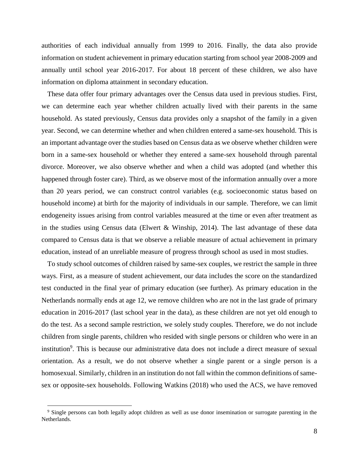authorities of each individual annually from 1999 to 2016. Finally, the data also provide information on student achievement in primary education starting from school year 2008-2009 and annually until school year 2016-2017. For about 18 percent of these children, we also have information on diploma attainment in secondary education.

These data offer four primary advantages over the Census data used in previous studies. First, we can determine each year whether children actually lived with their parents in the same household. As stated previously, Census data provides only a snapshot of the family in a given year. Second, we can determine whether and when children entered a same-sex household. This is an important advantage over the studies based on Census data as we observe whether children were born in a same-sex household or whether they entered a same-sex household through parental divorce. Moreover, we also observe whether and when a child was adopted (and whether this happened through foster care). Third, as we observe most of the information annually over a more than 20 years period, we can construct control variables (e.g. socioeconomic status based on household income) at birth for the majority of individuals in our sample. Therefore, we can limit endogeneity issues arising from control variables measured at the time or even after treatment as in the studies using Census data (Elwert & Winship, 2014). The last advantage of these data compared to Census data is that we observe a reliable measure of actual achievement in primary education, instead of an unreliable measure of progress through school as used in most studies.

To study school outcomes of children raised by same-sex couples, we restrict the sample in three ways. First, as a measure of student achievement, our data includes the score on the standardized test conducted in the final year of primary education (see further). As primary education in the Netherlands normally ends at age 12, we remove children who are not in the last grade of primary education in 2016-2017 (last school year in the data), as these children are not yet old enough to do the test. As a second sample restriction, we solely study couples. Therefore, we do not include children from single parents, children who resided with single persons or children who were in an institution<sup>9</sup>. This is because our administrative data does not include a direct measure of sexual orientation. As a result, we do not observe whether a single parent or a single person is a homosexual. Similarly, children in an institution do not fall within the common definitions of samesex or opposite-sex households. Following Watkins (2018) who used the ACS, we have removed

<sup>&</sup>lt;sup>9</sup> Single persons can both legally adopt children as well as use donor insemination or surrogate parenting in the Netherlands.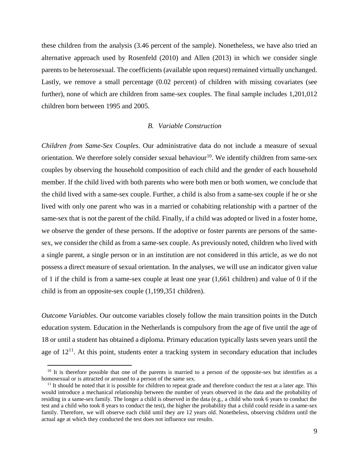these children from the analysis (3.46 percent of the sample). Nonetheless, we have also tried an alternative approach used by Rosenfeld (2010) and Allen (2013) in which we consider single parents to be heterosexual. The coefficients (available upon request) remained virtually unchanged. Lastly, we remove a small percentage  $(0.02$  percent) of children with missing covariates (see further), none of which are children from same-sex couples. The final sample includes 1,201,012 children born between 1995 and 2005.

## *B. Variable Construction*

*Children from Same-Sex Couples*. Our administrative data do not include a measure of sexual orientation. We therefore solely consider sexual behaviour<sup>10</sup>. We identify children from same-sex couples by observing the household composition of each child and the gender of each household member. If the child lived with both parents who were both men or both women, we conclude that the child lived with a same-sex couple. Further, a child is also from a same-sex couple if he or she lived with only one parent who was in a married or cohabiting relationship with a partner of the same-sex that is not the parent of the child. Finally, if a child was adopted or lived in a foster home, we observe the gender of these persons. If the adoptive or foster parents are persons of the samesex, we consider the child as from a same-sex couple. As previously noted, children who lived with a single parent, a single person or in an institution are not considered in this article, as we do not possess a direct measure of sexual orientation. In the analyses, we will use an indicator given value of 1 if the child is from a same-sex couple at least one year (1,661 children) and value of 0 if the child is from an opposite-sex couple (1,199,351 children).

*Outcome Variables*. Our outcome variables closely follow the main transition points in the Dutch education system. Education in the Netherlands is compulsory from the age of five until the age of 18 or until a student has obtained a diploma. Primary education typically lasts seven years until the age of  $12<sup>11</sup>$ . At this point, students enter a tracking system in secondary education that includes

 $10$  It is therefore possible that one of the parents is married to a person of the opposite-sex but identifies as a homosexual or is attracted or aroused to a person of the same sex.

 $11$  It should be noted that it is possible for children to repeat grade and therefore conduct the test at a later age. This would introduce a mechanical relationship between the number of years observed in the data and the probability of residing in a same-sex family. The longer a child is observed in the data (e.g., a child who took 6 years to conduct the test and a child who took 8 years to conduct the test), the higher the probability that a child could reside in a same-sex family. Therefore, we will observe each child until they are 12 years old. Nonetheless, observing children until the actual age at which they conducted the test does not influence our results.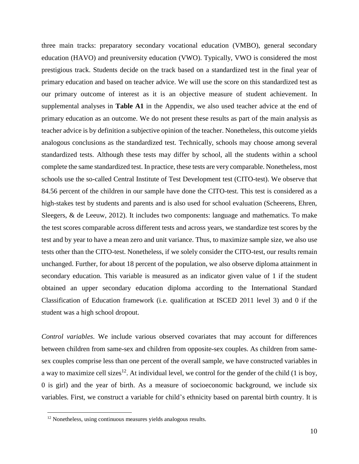three main tracks: preparatory secondary vocational education (VMBO), general secondary education (HAVO) and preuniversity education (VWO). Typically, VWO is considered the most prestigious track. Students decide on the track based on a standardized test in the final year of primary education and based on teacher advice. We will use the score on this standardized test as our primary outcome of interest as it is an objective measure of student achievement. In supplemental analyses in **Table A1** in the Appendix, we also used teacher advice at the end of primary education as an outcome. We do not present these results as part of the main analysis as teacher advice is by definition a subjective opinion of the teacher. Nonetheless, this outcome yields analogous conclusions as the standardized test. Technically, schools may choose among several standardized tests. Although these tests may differ by school, all the students within a school complete the same standardized test. In practice, these tests are very comparable. Nonetheless, most schools use the so-called Central Institute of Test Development test (CITO-test). We observe that 84.56 percent of the children in our sample have done the CITO-test. This test is considered as a high-stakes test by students and parents and is also used for school evaluation (Scheerens, Ehren, Sleegers, & de Leeuw, 2012). It includes two components: language and mathematics. To make the test scores comparable across different tests and across years, we standardize test scores by the test and by year to have a mean zero and unit variance. Thus, to maximize sample size, we also use tests other than the CITO-test. Nonetheless, if we solely consider the CITO-test, our results remain unchanged. Further, for about 18 percent of the population, we also observe diploma attainment in secondary education. This variable is measured as an indicator given value of 1 if the student obtained an upper secondary education diploma according to the International Standard Classification of Education framework (i.e. qualification at ISCED 2011 level 3) and 0 if the student was a high school dropout.

*Control variables*. We include various observed covariates that may account for differences between children from same-sex and children from opposite-sex couples. As children from samesex couples comprise less than one percent of the overall sample, we have constructed variables in a way to maximize cell sizes<sup>12</sup>. At individual level, we control for the gender of the child (1 is boy, 0 is girl) and the year of birth. As a measure of socioeconomic background, we include six variables. First, we construct a variable for child's ethnicity based on parental birth country. It is

<sup>12</sup> Nonetheless, using continuous measures yields analogous results.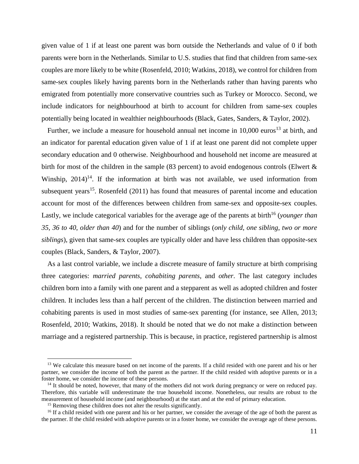given value of 1 if at least one parent was born outside the Netherlands and value of 0 if both parents were born in the Netherlands. Similar to U.S. studies that find that children from same-sex couples are more likely to be white (Rosenfeld, 2010; Watkins, 2018), we control for children from same-sex couples likely having parents born in the Netherlands rather than having parents who emigrated from potentially more conservative countries such as Turkey or Morocco. Second, we include indicators for neighbourhood at birth to account for children from same-sex couples potentially being located in wealthier neighbourhoods (Black, Gates, Sanders, & Taylor, 2002).

Further, we include a measure for household annual net income in  $10,000$  euros<sup>13</sup> at birth, and an indicator for parental education given value of 1 if at least one parent did not complete upper secondary education and 0 otherwise. Neighbourhood and household net income are measured at birth for most of the children in the sample (83 percent) to avoid endogenous controls (Elwert & Winship,  $2014$ <sup>14</sup>. If the information at birth was not available, we used information from subsequent years<sup>15</sup>. Rosenfeld  $(2011)$  has found that measures of parental income and education account for most of the differences between children from same-sex and opposite-sex couples. Lastly, we include categorical variables for the average age of the parents at birth<sup>16</sup> (*younger than 35*, *36 to 40*, *older than 40*) and for the number of siblings (*only child*, *one sibling*, *two or more siblings*), given that same-sex couples are typically older and have less children than opposite-sex couples (Black, Sanders, & Taylor, 2007).

As a last control variable, we include a discrete measure of family structure at birth comprising three categories: *married parents*, *cohabiting parents*, and *other*. The last category includes children born into a family with one parent and a stepparent as well as adopted children and foster children. It includes less than a half percent of the children. The distinction between married and cohabiting parents is used in most studies of same-sex parenting (for instance, see Allen, 2013; Rosenfeld, 2010; Watkins, 2018). It should be noted that we do not make a distinction between marriage and a registered partnership. This is because, in practice, registered partnership is almost

<sup>&</sup>lt;sup>13</sup> We calculate this measure based on net income of the parents. If a child resided with one parent and his or her partner, we consider the income of both the parent as the partner. If the child resided with adoptive parents or in a foster home, we consider the income of these persons.

<sup>&</sup>lt;sup>14</sup> It should be noted, however, that many of the mothers did not work during pregnancy or were on reduced pay. Therefore, this variable will underestimate the true household income. Nonetheless, our results are robust to the measurement of household income (and neighbourhood) at the start and at the end of primary education.

<sup>&</sup>lt;sup>15</sup> Removing these children does not alter the results significantly.

<sup>&</sup>lt;sup>16</sup> If a child resided with one parent and his or her partner, we consider the average of the age of both the parent as the partner. If the child resided with adoptive parents or in a foster home, we consider the average age of these persons.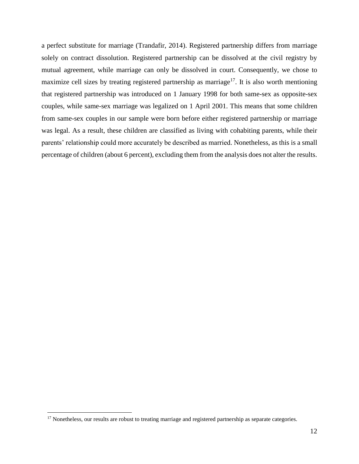a perfect substitute for marriage (Trandafir, 2014). Registered partnership differs from marriage solely on contract dissolution. Registered partnership can be dissolved at the civil registry by mutual agreement, while marriage can only be dissolved in court. Consequently, we chose to maximize cell sizes by treating registered partnership as marriage<sup>17</sup>. It is also worth mentioning that registered partnership was introduced on 1 January 1998 for both same-sex as opposite-sex couples, while same-sex marriage was legalized on 1 April 2001. This means that some children from same-sex couples in our sample were born before either registered partnership or marriage was legal. As a result, these children are classified as living with cohabiting parents, while their parents' relationship could more accurately be described as married. Nonetheless, as this is a small percentage of children (about 6 percent), excluding them from the analysis does not alter the results.

<sup>&</sup>lt;sup>17</sup> Nonetheless, our results are robust to treating marriage and registered partnership as separate categories.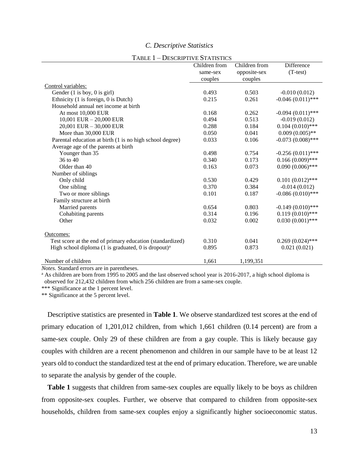## *C. Descriptive Statistics*

|                                                                 | Children from | Children from | <b>Difference</b>   |
|-----------------------------------------------------------------|---------------|---------------|---------------------|
|                                                                 | same-sex      | opposite-sex  | $(T-test)$          |
|                                                                 | couples       | couples       |                     |
| Control variables:                                              |               |               |                     |
| Gender $(1 \text{ is boy}, 0 \text{ is girl})$                  | 0.493         | 0.503         | $-0.010(0.012)$     |
| Ethnicity (1 is foreign, 0 is Dutch)                            | 0.215         | 0.261         | $-0.046(0.011)$ *** |
| Household annual net income at birth                            |               |               |                     |
| At most 10,000 EUR                                              | 0.168         | 0.262         | $-0.094(0.011)$ *** |
| 10,001 EUR $-$ 20,000 EUR                                       | 0.494         | 0.513         | $-0.019(0.012)$     |
| 20,001 EUR - 30,000 EUR                                         | 0.288         | 0.184         | $0.104(0.010)$ ***  |
| More than 30,000 EUR                                            | 0.050         | 0.041         | $0.009(0.005)$ **   |
| Parental education at birth (1 is no high school degree)        | 0.033         | 0.106         | $-0.073(0.008)$ *** |
| Average age of the parents at birth                             |               |               |                     |
| Younger than 35                                                 | 0.498         | 0.754         | $-0.256(0.011)$ *** |
| 36 to 40                                                        | 0.340         | 0.173         | $0.166(0.009)$ ***  |
| Older than 40                                                   | 0.163         | 0.073         | $0.090(0.006)$ ***  |
| Number of siblings                                              |               |               |                     |
| Only child                                                      | 0.530         | 0.429         | $0.101(0.012)$ ***  |
| One sibling                                                     | 0.370         | 0.384         | $-0.014(0.012)$     |
| Two or more siblings                                            | 0.101         | 0.187         | $-0.086(0.010)$ *** |
| Family structure at birth                                       |               |               |                     |
| Married parents                                                 | 0.654         | 0.803         | $-0.149(0.010)$ *** |
| Cohabiting parents                                              | 0.314         | 0.196         | $0.119(0.010)$ ***  |
| Other                                                           | 0.032         | 0.002         | $0.030(0.001)$ ***  |
|                                                                 |               |               |                     |
| Outcomes:                                                       |               |               |                     |
| Test score at the end of primary education (standardized)       | 0.310         | 0.041         | $0.269(0.024)$ ***  |
| High school diploma (1 is graduated, 0 is dropout) <sup>a</sup> | 0.895         | 0.873         | 0.021(0.021)        |
| Number of children                                              | 1,661         | 1,199,351     |                     |

## TABLE 1 – DESCRIPTIVE STATISTICS

*Notes.* Standard errors are in parentheses.

<sup>a</sup> As children are born from 1995 to 2005 and the last observed school year is 2016-2017, a high school diploma is observed for 212,432 children from which 256 children are from a same-sex couple.

\*\*\* Significance at the 1 percent level.

\*\* Significance at the 5 percent level.

Descriptive statistics are presented in **Table 1**. We observe standardized test scores at the end of primary education of 1,201,012 children, from which 1,661 children (0.14 percent) are from a same-sex couple. Only 29 of these children are from a gay couple. This is likely because gay couples with children are a recent phenomenon and children in our sample have to be at least 12 years old to conduct the standardized test at the end of primary education. Therefore, we are unable to separate the analysis by gender of the couple.

**Table 1** suggests that children from same-sex couples are equally likely to be boys as children from opposite-sex couples. Further, we observe that compared to children from opposite-sex households, children from same-sex couples enjoy a significantly higher socioeconomic status.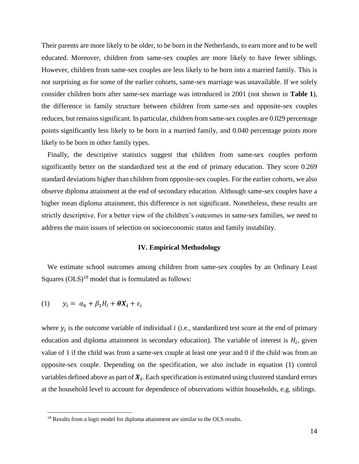Their parents are more likely to be older, to be born in the Netherlands, to earn more and to be well educated. Moreover, children from same-sex couples are more likely to have fewer siblings. However, children from same-sex couples are less likely to be born into a married family. This is not surprising as for some of the earlier cohorts, same-sex marriage was unavailable. If we solely consider children born after same-sex marriage was introduced in 2001 (not shown in **Table 1**), the difference in family structure between children from same-sex and opposite-sex couples reduces, but remains significant. In particular, children from same-sex couples are 0.029 percentage points significantly less likely to be born in a married family, and 0.040 percentage points more likely to be born in other family types.

Finally, the descriptive statistics suggest that children from same-sex couples perform significantly better on the standardized test at the end of primary education. They score 0.269 standard deviations higher than children from opposite-sex couples. For the earlier cohorts, we also observe diploma attainment at the end of secondary education. Although same-sex couples have a higher mean diploma attainment, this difference is not significant. Nonetheless, these results are strictly descriptive. For a better view of the children's outcomes in same-sex families, we need to address the main issues of selection on socioeconomic status and family instability.

#### **IV. Empirical Methodology**

We estimate school outcomes among children from same-sex couples by an Ordinary Least Squares  $(OLS)^{18}$  model that is formulated as follows:

$$
(1) \qquad y_i = \alpha_0 + \beta_1 H_i + \theta X_i + \varepsilon_i
$$

 $\overline{a}$ 

where  $y_i$  is the outcome variable of individual *i* (i.e., standardized test score at the end of primary education and diploma attainment in secondary education). The variable of interest is  $H_i$ , given value of 1 if the child was from a same-sex couple at least one year and 0 if the child was from an opposite-sex couple. Depending on the specification, we also include in equation (1) control variables defined above as part of  $X_i$ . Each specification is estimated using clustered standard errors at the household level to account for dependence of observations within households, e.g. siblings.

<sup>&</sup>lt;sup>18</sup> Results from a logit model for diploma attainment are similar to the OLS results.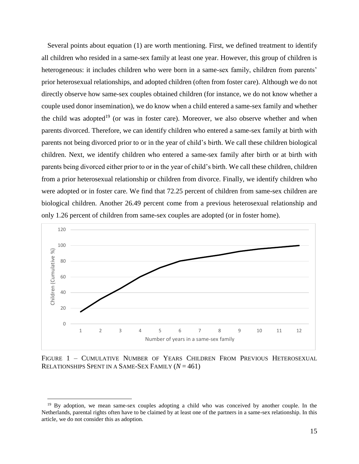Several points about equation (1) are worth mentioning. First, we defined treatment to identify all children who resided in a same-sex family at least one year. However, this group of children is heterogeneous: it includes children who were born in a same-sex family, children from parents' prior heterosexual relationships, and adopted children (often from foster care). Although we do not directly observe how same-sex couples obtained children (for instance, we do not know whether a couple used donor insemination), we do know when a child entered a same-sex family and whether the child was adopted<sup>19</sup> (or was in foster care). Moreover, we also observe whether and when parents divorced. Therefore, we can identify children who entered a same-sex family at birth with parents not being divorced prior to or in the year of child's birth. We call these children biological children. Next, we identify children who entered a same-sex family after birth or at birth with parents being divorced either prior to or in the year of child's birth. We call these children, children from a prior heterosexual relationship or children from divorce. Finally, we identify children who were adopted or in foster care. We find that 72.25 percent of children from same-sex children are biological children. Another 26.49 percent come from a previous heterosexual relationship and only 1.26 percent of children from same-sex couples are adopted (or in foster home).



FIGURE 1 – CUMULATIVE NUMBER OF YEARS CHILDREN FROM PREVIOUS HETEROSEXUAL RELATIONSHIPS SPENT IN A SAME-SEX FAMILY (*N* = 461)

<sup>&</sup>lt;sup>19</sup> By adoption, we mean same-sex couples adopting a child who was conceived by another couple. In the Netherlands, parental rights often have to be claimed by at least one of the partners in a same-sex relationship. In this article, we do not consider this as adoption.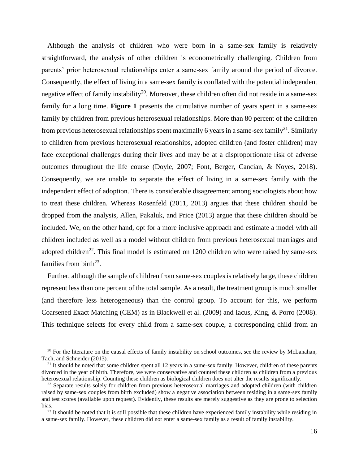Although the analysis of children who were born in a same-sex family is relatively straightforward, the analysis of other children is econometrically challenging. Children from parents' prior heterosexual relationships enter a same-sex family around the period of divorce. Consequently, the effect of living in a same-sex family is conflated with the potential independent negative effect of family instability<sup>20</sup>. Moreover, these children often did not reside in a same-sex family for a long time. **Figure 1** presents the cumulative number of years spent in a same-sex family by children from previous heterosexual relationships. More than 80 percent of the children from previous heterosexual relationships spent maximally 6 years in a same-sex family<sup>21</sup>. Similarly to children from previous heterosexual relationships, adopted children (and foster children) may face exceptional challenges during their lives and may be at a disproportionate risk of adverse outcomes throughout the life course (Doyle, 2007; Font, Berger, Cancian, & Noyes, 2018). Consequently, we are unable to separate the effect of living in a same-sex family with the independent effect of adoption. There is considerable disagreement among sociologists about how to treat these children. Whereas Rosenfeld (2011, 2013) argues that these children should be dropped from the analysis, Allen, Pakaluk, and Price (2013) argue that these children should be included. We, on the other hand, opt for a more inclusive approach and estimate a model with all children included as well as a model without children from previous heterosexual marriages and adopted children<sup>22</sup>. This final model is estimated on 1200 children who were raised by same-sex families from birth $^{23}$ .

Further, although the sample of children from same-sex couples is relatively large, these children represent less than one percent of the total sample. As a result, the treatment group is much smaller (and therefore less heterogeneous) than the control group. To account for this, we perform Coarsened Exact Matching (CEM) as in Blackwell et al. (2009) and Iacus, King, & Porro (2008). This technique selects for every child from a same-sex couple, a corresponding child from an

 $20$  For the literature on the causal effects of family instability on school outcomes, see the review by McLanahan, Tach, and Schneider (2013).

 $21$  It should be noted that some children spent all 12 years in a same-sex family. However, children of these parents divorced in the year of birth. Therefore, we were conservative and counted these children as children from a previous heterosexual relationship. Counting these children as biological children does not alter the results significantly.

<sup>&</sup>lt;sup>22</sup> Separate results solely for children from previous heterosexual marriages and adopted children (with children raised by same-sex couples from birth excluded) show a negative association between residing in a same-sex family and test scores (available upon request). Evidently, these results are merely suggestive as they are prone to selection bias.

 $23$  It should be noted that it is still possible that these children have experienced family instability while residing in a same-sex family. However, these children did not enter a same-sex family as a result of family instability.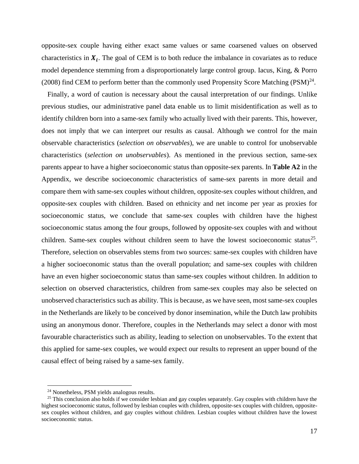opposite-sex couple having either exact same values or same coarsened values on observed characteristics in  $X_i$ . The goal of CEM is to both reduce the imbalance in covariates as to reduce model dependence stemming from a disproportionately large control group. Iacus, King, & Porro (2008) find CEM to perform better than the commonly used Propensity Score Matching  $(PSM)^{24}$ .

Finally, a word of caution is necessary about the causal interpretation of our findings. Unlike previous studies, our administrative panel data enable us to limit misidentification as well as to identify children born into a same-sex family who actually lived with their parents. This, however, does not imply that we can interpret our results as causal. Although we control for the main observable characteristics (*selection on observables*), we are unable to control for unobservable characteristics (*selection on unobservables*). As mentioned in the previous section, same-sex parents appear to have a higher socioeconomic status than opposite-sex parents. In **Table A2** in the Appendix, we describe socioeconomic characteristics of same-sex parents in more detail and compare them with same-sex couples without children, opposite-sex couples without children, and opposite-sex couples with children. Based on ethnicity and net income per year as proxies for socioeconomic status, we conclude that same-sex couples with children have the highest socioeconomic status among the four groups, followed by opposite-sex couples with and without children. Same-sex couples without children seem to have the lowest socioeconomic status<sup>25</sup>. Therefore, selection on observables stems from two sources: same-sex couples with children have a higher socioeconomic status than the overall population; and same-sex couples with children have an even higher socioeconomic status than same-sex couples without children. In addition to selection on observed characteristics, children from same-sex couples may also be selected on unobserved characteristics such as ability. This is because, as we have seen, most same-sex couples in the Netherlands are likely to be conceived by donor insemination, while the Dutch law prohibits using an anonymous donor. Therefore, couples in the Netherlands may select a donor with most favourable characteristics such as ability, leading to selection on unobservables. To the extent that this applied for same-sex couples, we would expect our results to represent an upper bound of the causal effect of being raised by a same-sex family.

<sup>24</sup> Nonetheless, PSM yields analogous results.

 $25$  This conclusion also holds if we consider lesbian and gay couples separately. Gay couples with children have the highest socioeconomic status, followed by lesbian couples with children, opposite-sex couples with children, oppositesex couples without children, and gay couples without children. Lesbian couples without children have the lowest socioeconomic status.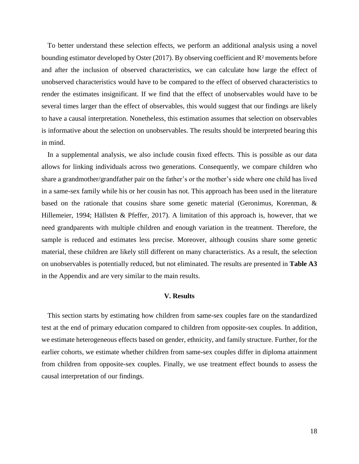To better understand these selection effects, we perform an additional analysis using a novel bounding estimator developed by Oster (2017). By observing coefficient and R² movements before and after the inclusion of observed characteristics, we can calculate how large the effect of unobserved characteristics would have to be compared to the effect of observed characteristics to render the estimates insignificant. If we find that the effect of unobservables would have to be several times larger than the effect of observables, this would suggest that our findings are likely to have a causal interpretation. Nonetheless, this estimation assumes that selection on observables is informative about the selection on unobservables. The results should be interpreted bearing this in mind.

In a supplemental analysis, we also include cousin fixed effects. This is possible as our data allows for linking individuals across two generations. Consequently, we compare children who share a grandmother/grandfather pair on the father's or the mother's side where one child has lived in a same-sex family while his or her cousin has not. This approach has been used in the literature based on the rationale that cousins share some genetic material (Geronimus, Korenman, & Hillemeier, 1994; Hällsten & Pfeffer, 2017). A limitation of this approach is, however, that we need grandparents with multiple children and enough variation in the treatment. Therefore, the sample is reduced and estimates less precise. Moreover, although cousins share some genetic material, these children are likely still different on many characteristics. As a result, the selection on unobservables is potentially reduced, but not eliminated. The results are presented in **Table A3** in the Appendix and are very similar to the main results.

## **V. Results**

This section starts by estimating how children from same-sex couples fare on the standardized test at the end of primary education compared to children from opposite-sex couples. In addition, we estimate heterogeneous effects based on gender, ethnicity, and family structure. Further, for the earlier cohorts, we estimate whether children from same-sex couples differ in diploma attainment from children from opposite-sex couples. Finally, we use treatment effect bounds to assess the causal interpretation of our findings.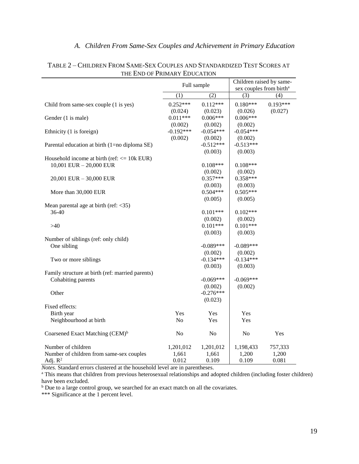# *A. Children From Same-Sex Couples and Achievement in Primary Education*

|                                                  | Full sample    |                | Children raised by same- |                                     |
|--------------------------------------------------|----------------|----------------|--------------------------|-------------------------------------|
|                                                  |                |                |                          | sex couples from birth <sup>a</sup> |
|                                                  | (1)            | (2)            | (3)                      | (4)                                 |
| Child from same-sex couple (1 is yes)            | $0.252***$     | $0.112***$     | $0.180***$               | $0.193***$                          |
|                                                  | (0.024)        | (0.023)        | (0.026)                  | (0.027)                             |
| Gender (1 is male)                               | $0.011***$     | $0.006***$     | $0.006***$               |                                     |
|                                                  | (0.002)        | (0.002)        | (0.002)                  |                                     |
| Ethnicity (1 is foreign)                         | $-0.192***$    | $-0.054***$    | $-0.054***$              |                                     |
|                                                  | (0.002)        | (0.002)        | (0.002)                  |                                     |
| Parental education at birth (1=no diploma SE)    |                | $-0.512***$    | $-0.513***$              |                                     |
|                                                  |                | (0.003)        | (0.003)                  |                                     |
| Household income at birth (ref: $\leq$ 10k EUR)  |                |                |                          |                                     |
| 10,001 EUR $-$ 20,000 EUR                        |                | $0.108***$     | $0.108***$               |                                     |
|                                                  |                | (0.002)        | (0.002)                  |                                     |
| 20,001 EUR - 30,000 EUR                          |                | $0.357***$     | $0.358***$               |                                     |
|                                                  |                | (0.003)        | (0.003)                  |                                     |
| More than 30,000 EUR                             |                | $0.504***$     | $0.505***$               |                                     |
|                                                  |                | (0.005)        | (0.005)                  |                                     |
| Mean parental age at birth (ref: <35)            |                |                |                          |                                     |
| 36-40                                            |                | $0.101***$     | $0.102***$               |                                     |
|                                                  |                | (0.002)        | (0.002)                  |                                     |
| >40                                              |                | $0.101***$     | $0.101***$               |                                     |
|                                                  |                | (0.003)        | (0.003)                  |                                     |
| Number of siblings (ref: only child)             |                |                |                          |                                     |
| One sibling                                      |                | $-0.089***$    | $-0.089***$              |                                     |
|                                                  |                | (0.002)        | (0.002)                  |                                     |
| Two or more siblings                             |                | $-0.134***$    | $-0.134***$              |                                     |
|                                                  |                | (0.003)        | (0.003)                  |                                     |
| Family structure at birth (ref: married parents) |                |                |                          |                                     |
| Cohabiting parents                               |                | $-0.069***$    | $-0.069***$              |                                     |
|                                                  |                | (0.002)        | (0.002)                  |                                     |
| Other                                            |                | $-0.276***$    |                          |                                     |
|                                                  |                | (0.023)        |                          |                                     |
| Fixed effects:                                   | <b>Yes</b>     |                |                          |                                     |
| Birth year                                       | No             | Yes            | Yes                      |                                     |
| Neighbourhood at birth                           |                | Yes            | Yes                      |                                     |
| Coarsened Exact Matching (CEM) <sup>b</sup>      | N <sub>0</sub> | N <sub>o</sub> | N <sub>0</sub>           | Yes                                 |
| Number of children                               | 1,201,012      | 1,201,012      | 1,198,433                | 757,333                             |
| Number of children from same-sex couples         | 1,661          | 1,661          | 1,200                    | 1,200                               |
| Adj. $R^2$                                       | 0.012          | 0.109          | 0.109                    | 0.081                               |

# TABLE 2 – CHILDREN FROM SAME-SEX COUPLES AND STANDARDIZED TEST SCORES AT THE END OF PRIMARY EDUCATION

*Notes.* Standard errors clustered at the household level are in parentheses.

<sup>a</sup> This means that children from previous heterosexual relationships and adopted children (including foster children) have been excluded.

<sup>b</sup> Due to a large control group, we searched for an exact match on all the covariates.

\*\*\* Significance at the 1 percent level.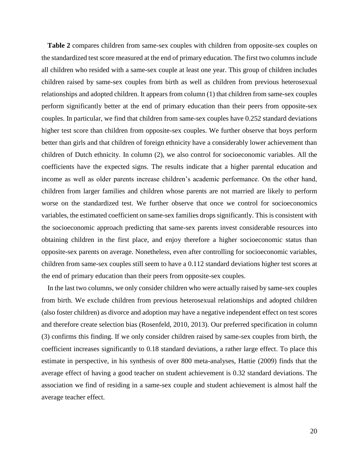**Table 2** compares children from same-sex couples with children from opposite-sex couples on the standardized test score measured at the end of primary education. The first two columns include all children who resided with a same-sex couple at least one year. This group of children includes children raised by same-sex couples from birth as well as children from previous heterosexual relationships and adopted children. It appears from column (1) that children from same-sex couples perform significantly better at the end of primary education than their peers from opposite-sex couples. In particular, we find that children from same-sex couples have 0.252 standard deviations higher test score than children from opposite-sex couples. We further observe that boys perform better than girls and that children of foreign ethnicity have a considerably lower achievement than children of Dutch ethnicity. In column (2), we also control for socioeconomic variables. All the coefficients have the expected signs. The results indicate that a higher parental education and income as well as older parents increase children's academic performance. On the other hand, children from larger families and children whose parents are not married are likely to perform worse on the standardized test. We further observe that once we control for socioeconomics variables, the estimated coefficient on same-sex families drops significantly. This is consistent with the socioeconomic approach predicting that same-sex parents invest considerable resources into obtaining children in the first place, and enjoy therefore a higher socioeconomic status than opposite-sex parents on average. Nonetheless, even after controlling for socioeconomic variables, children from same-sex couples still seem to have a 0.112 standard deviations higher test scores at the end of primary education than their peers from opposite-sex couples.

In the last two columns, we only consider children who were actually raised by same-sex couples from birth. We exclude children from previous heterosexual relationships and adopted children (also foster children) as divorce and adoption may have a negative independent effect on test scores and therefore create selection bias (Rosenfeld, 2010, 2013). Our preferred specification in column (3) confirms this finding. If we only consider children raised by same-sex couples from birth, the coefficient increases significantly to 0.18 standard deviations, a rather large effect. To place this estimate in perspective, in his synthesis of over 800 meta-analyses, Hattie (2009) finds that the average effect of having a good teacher on student achievement is 0.32 standard deviations. The association we find of residing in a same-sex couple and student achievement is almost half the average teacher effect.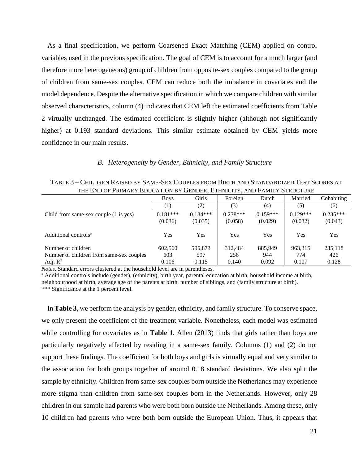As a final specification, we perform Coarsened Exact Matching (CEM) applied on control variables used in the previous specification. The goal of CEM is to account for a much larger (and therefore more heterogeneous) group of children from opposite-sex couples compared to the group of children from same-sex couples. CEM can reduce both the imbalance in covariates and the model dependence. Despite the alternative specification in which we compare children with similar observed characteristics, column (4) indicates that CEM left the estimated coefficients from Table 2 virtually unchanged. The estimated coefficient is slightly higher (although not significantly higher) at 0.193 standard deviations. This similar estimate obtained by CEM yields more confidence in our main results.

#### *B. Heterogeneity by Gender, Ethnicity, and Family Structure*

| TABLE 3 – CHILDREN RAISED BY SAME-SEX COUPLES FROM BIRTH AND STANDARDIZED TEST SCORES AT |
|------------------------------------------------------------------------------------------|
| THE END OF PRIMARY EDUCATION BY GENDER, ETHNICITY, AND FAMILY STRUCTURE                  |

|                                          | <b>Boys</b> | Girls      | Foreign    | Dutch      | Married    | Cohabiting |
|------------------------------------------|-------------|------------|------------|------------|------------|------------|
|                                          |             | (2)        | (3)        | (4)        | (5)        | (6)        |
| Child from same-sex couple (1 is yes)    | $0.181***$  | $0.184***$ | $0.238***$ | $0.159***$ | $0.129***$ | $0.235***$ |
|                                          | (0.036)     | (0.035)    | (0.058)    | (0.029)    | (0.032)    | (0.043)    |
| Additional controls <sup>a</sup>         | Yes         | Yes        | Yes        | Yes        | Yes        | Yes        |
| Number of children                       | 602,560     | 595,873    | 312.484    | 885,949    | 963,315    | 235,118    |
| Number of children from same-sex couples | 603         | 597        | 256        | 944        | 774        | 426        |
| Adj. $R^2$                               | 0.106       | 0.115      | 0.140      | 0.092      | 0.107      | 0.128      |

*Notes.* Standard errors clustered at the household level are in parentheses.

<sup>a</sup> Additional controls include (gender), (ethnicity), birth year, parental education at birth, household income at birth, neighbourhood at birth, average age of the parents at birth, number of siblings, and (family structure at birth).

\*\*\* Significance at the 1 percent level.

In **Table 3**, we perform the analysis by gender, ethnicity, and family structure. To conserve space, we only present the coefficient of the treatment variable. Nonetheless, each model was estimated while controlling for covariates as in **Table 1**. Allen (2013) finds that girls rather than boys are particularly negatively affected by residing in a same-sex family. Columns (1) and (2) do not support these findings. The coefficient for both boys and girls is virtually equal and very similar to the association for both groups together of around 0.18 standard deviations. We also split the sample by ethnicity. Children from same-sex couples born outside the Netherlands may experience more stigma than children from same-sex couples born in the Netherlands. However, only 28 children in our sample had parents who were both born outside the Netherlands. Among these, only 10 children had parents who were both born outside the European Union. Thus, it appears that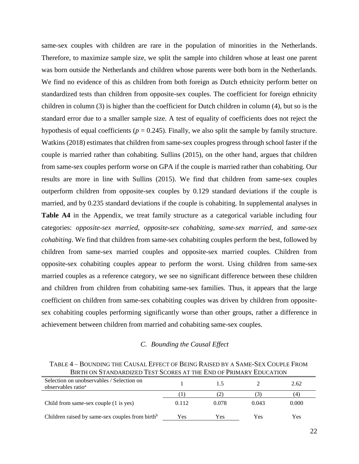same-sex couples with children are rare in the population of minorities in the Netherlands. Therefore, to maximize sample size, we split the sample into children whose at least one parent was born outside the Netherlands and children whose parents were both born in the Netherlands. We find no evidence of this as children from both foreign as Dutch ethnicity perform better on standardized tests than children from opposite-sex couples. The coefficient for foreign ethnicity children in column (3) is higher than the coefficient for Dutch children in column (4), but so is the standard error due to a smaller sample size. A test of equality of coefficients does not reject the hypothesis of equal coefficients ( $p = 0.245$ ). Finally, we also split the sample by family structure. Watkins (2018) estimates that children from same-sex couples progress through school faster if the couple is married rather than cohabiting. Sullins (2015), on the other hand, argues that children from same-sex couples perform worse on GPA if the couple is married rather than cohabiting. Our results are more in line with Sullins (2015). We find that children from same-sex couples outperform children from opposite-sex couples by 0.129 standard deviations if the couple is married, and by 0.235 standard deviations if the couple is cohabiting. In supplemental analyses in **Table A4** in the Appendix, we treat family structure as a categorical variable including four categories: *opposite-sex married*, *opposite-sex cohabiting*, *same-sex married*, and *same-sex cohabiting*. We find that children from same-sex cohabiting couples perform the best, followed by children from same-sex married couples and opposite-sex married couples. Children from opposite-sex cohabiting couples appear to perform the worst. Using children from same-sex married couples as a reference category, we see no significant difference between these children and children from children from cohabiting same-sex families. Thus, it appears that the large coefficient on children from same-sex cohabiting couples was driven by children from oppositesex cohabiting couples performing significantly worse than other groups, rather a difference in achievement between children from married and cohabiting same-sex couples.

## *C. Bounding the Causal Effect*

TABLE 4 – BOUNDING THE CAUSAL EFFECT OF BEING RAISED BY A SAME-SEX COUPLE FROM BIRTH ON STANDARDIZED TEST SCORES AT THE END OF PRIMARY EDUCATION

| Selection on unobservables / Selection on<br>observables ratio <sup>a</sup> |       |       |       | 2.62  |
|-----------------------------------------------------------------------------|-------|-------|-------|-------|
|                                                                             |       |       |       | .4    |
| Child from same-sex couple (1 is yes)                                       | 0.112 | 0.078 | 0.043 | 0.000 |
| Children raised by same-sex couples from birth <sup>b</sup>                 | Yes   | Yes   | Yes   | Yes   |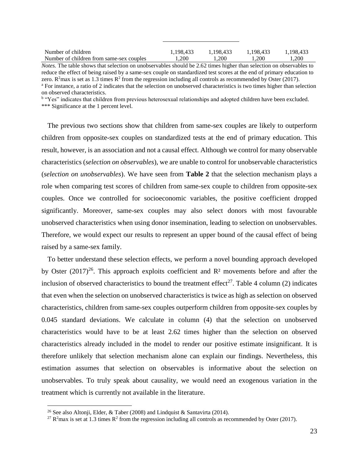| Number of children                       | 1.198.433 | 1.198.433 | 1.198.433 | 1.198.433 |
|------------------------------------------|-----------|-----------|-----------|-----------|
| Number of children from same-sex couples | .200      | 1.200     | .200      | l.200     |

*Notes.* The table shows that selection on unobservables should be 2.62 times higher than selection on observables to reduce the effect of being raised by a same-sex couple on standardized test scores at the end of primary education to zero. R<sup>2</sup>max is set as 1.3 times R<sup>2</sup> from the regression including all controls as recommended by Oster (2017). <sup>a</sup> For instance, a ratio of 2 indicates that the selection on unobserved characteristics is two times higher than selection

on observed characteristics.

<sup>b</sup> "Yes" indicates that children from previous heterosexual relationships and adopted children have been excluded.

\*\*\* Significance at the 1 percent level.

The previous two sections show that children from same-sex couples are likely to outperform children from opposite-sex couples on standardized tests at the end of primary education. This result, however, is an association and not a causal effect. Although we control for many observable characteristics (*selection on observables*), we are unable to control for unobservable characteristics (*selection on unobservables*). We have seen from **Table 2** that the selection mechanism plays a role when comparing test scores of children from same-sex couple to children from opposite-sex couples. Once we controlled for socioeconomic variables, the positive coefficient dropped significantly. Moreover, same-sex couples may also select donors with most favourable unobserved characteristics when using donor insemination, leading to selection on unobservables. Therefore, we would expect our results to represent an upper bound of the causal effect of being raised by a same-sex family.

To better understand these selection effects, we perform a novel bounding approach developed by Oster  $(2017)^{26}$ . This approach exploits coefficient and  $\mathbb{R}^2$  movements before and after the inclusion of observed characteristics to bound the treatment effect<sup>27</sup>. Table 4 column (2) indicates that even when the selection on unobserved characteristics is twice as high as selection on observed characteristics, children from same-sex couples outperform children from opposite-sex couples by 0.045 standard deviations. We calculate in column (4) that the selection on unobserved characteristics would have to be at least 2.62 times higher than the selection on observed characteristics already included in the model to render our positive estimate insignificant. It is therefore unlikely that selection mechanism alone can explain our findings. Nevertheless, this estimation assumes that selection on observables is informative about the selection on unobservables. To truly speak about causality, we would need an exogenous variation in the treatment which is currently not available in the literature.

<sup>&</sup>lt;sup>26</sup> See also Altonji, Elder, & Taber (2008) and Lindquist & Santavirta (2014).

<sup>&</sup>lt;sup>27</sup> R<sup>2</sup>max is set at 1.3 times R<sup>2</sup> from the regression including all controls as recommended by Oster (2017).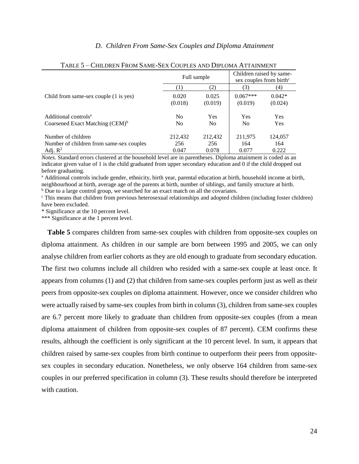#### *D. Children From Same-Sex Couples and Diploma Attainment*

|                                             |                | Full sample    |            | Children raised by same-<br>sex couples from birth <sup>c</sup> |
|---------------------------------------------|----------------|----------------|------------|-----------------------------------------------------------------|
|                                             | $^{(1)}$       | (2)            | (3)        | (4)                                                             |
| Child from same-sex couple (1 is yes)       | 0.020          | 0.025          | $0.067***$ | $0.042*$                                                        |
|                                             | (0.018)        | (0.019)        | (0.019)    | (0.024)                                                         |
| Additional controls <sup>a</sup>            | N <sub>0</sub> | Yes            | Yes        | <b>Yes</b>                                                      |
| Coarsened Exact Matching (CEM) <sup>b</sup> | N <sub>0</sub> | N <sub>0</sub> | No.        | <b>Yes</b>                                                      |
| Number of children                          | 212,432        | 212,432        | 211,975    | 124,057                                                         |
| Number of children from same-sex couples    | 256            | 256            | 164        | 164                                                             |
| Adj. $R^2$                                  | 0.047          | 0.078          | 0.077      | 0.222                                                           |

#### TABLE 5 – CHILDREN FROM SAME-SEX COUPLES AND DIPLOMA ATTAINMENT

*Notes.* Standard errors clustered at the household level are in parentheses. Diploma attainment is coded as an indicator given value of 1 is the child graduated from upper secondary education and 0 if the child dropped out before graduating.

<sup>a</sup> Additional controls include gender, ethnicity, birth year, parental education at birth, household income at birth, neighbourhood at birth, average age of the parents at birth, number of siblings, and family structure at birth. <sup>b</sup> Due to a large control group, we searched for an exact match on all the covariates.

<sup>c</sup> This means that children from previous heterosexual relationships and adopted children (including foster children) have been excluded.

\* Significance at the 10 percent level.

\*\*\* Significance at the 1 percent level.

**Table 5** compares children from same-sex couples with children from opposite-sex couples on diploma attainment. As children in our sample are born between 1995 and 2005, we can only analyse children from earlier cohorts as they are old enough to graduate from secondary education. The first two columns include all children who resided with a same-sex couple at least once. It appears from columns (1) and (2) that children from same-sex couples perform just as well as their peers from opposite-sex couples on diploma attainment. However, once we consider children who were actually raised by same-sex couples from birth in column (3), children from same-sex couples are 6.7 percent more likely to graduate than children from opposite-sex couples (from a mean diploma attainment of children from opposite-sex couples of 87 percent). CEM confirms these results, although the coefficient is only significant at the 10 percent level. In sum, it appears that children raised by same-sex couples from birth continue to outperform their peers from oppositesex couples in secondary education. Nonetheless, we only observe 164 children from same-sex couples in our preferred specification in column (3). These results should therefore be interpreted with caution.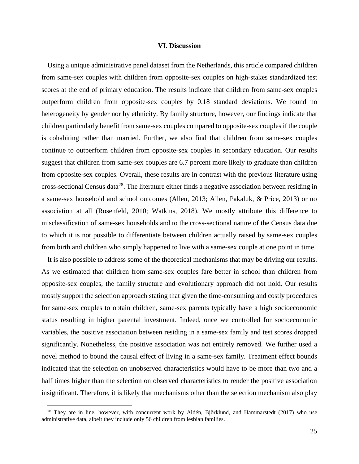#### **VI. Discussion**

Using a unique administrative panel dataset from the Netherlands, this article compared children from same-sex couples with children from opposite-sex couples on high-stakes standardized test scores at the end of primary education. The results indicate that children from same-sex couples outperform children from opposite-sex couples by 0.18 standard deviations. We found no heterogeneity by gender nor by ethnicity. By family structure, however, our findings indicate that children particularly benefit from same-sex couples compared to opposite-sex couples if the couple is cohabiting rather than married. Further, we also find that children from same-sex couples continue to outperform children from opposite-sex couples in secondary education. Our results suggest that children from same-sex couples are 6.7 percent more likely to graduate than children from opposite-sex couples. Overall, these results are in contrast with the previous literature using cross-sectional Census data<sup>28</sup>. The literature either finds a negative association between residing in a same-sex household and school outcomes (Allen, 2013; Allen, Pakaluk, & Price, 2013) or no association at all (Rosenfeld, 2010; Watkins, 2018). We mostly attribute this difference to misclassification of same-sex households and to the cross-sectional nature of the Census data due to which it is not possible to differentiate between children actually raised by same-sex couples from birth and children who simply happened to live with a same-sex couple at one point in time.

It is also possible to address some of the theoretical mechanisms that may be driving our results. As we estimated that children from same-sex couples fare better in school than children from opposite-sex couples, the family structure and evolutionary approach did not hold. Our results mostly support the selection approach stating that given the time-consuming and costly procedures for same-sex couples to obtain children, same-sex parents typically have a high socioeconomic status resulting in higher parental investment. Indeed, once we controlled for socioeconomic variables, the positive association between residing in a same-sex family and test scores dropped significantly. Nonetheless, the positive association was not entirely removed. We further used a novel method to bound the causal effect of living in a same-sex family. Treatment effect bounds indicated that the selection on unobserved characteristics would have to be more than two and a half times higher than the selection on observed characteristics to render the positive association insignificant. Therefore, it is likely that mechanisms other than the selection mechanism also play

<sup>&</sup>lt;sup>28</sup> They are in line, however, with concurrent work by Aldén, Björklund, and Hammarstedt (2017) who use administrative data, albeit they include only 56 children from lesbian families.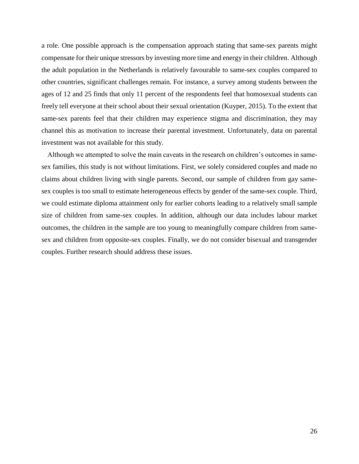a role. One possible approach is the compensation approach stating that same-sex parents might compensate for their unique stressors by investing more time and energy in their children. Although the adult population in the Netherlands is relatively favourable to same-sex couples compared to other countries, significant challenges remain. For instance, a survey among students between the ages of 12 and 25 finds that only 11 percent of the respondents feel that homosexual students can freely tell everyone at their school about their sexual orientation (Kuyper, 2015). To the extent that same-sex parents feel that their children may experience stigma and discrimination, they may channel this as motivation to increase their parental investment. Unfortunately, data on parental investment was not available for this study.

Although we attempted to solve the main caveats in the research on children's outcomes in samesex families, this study is not without limitations. First, we solely considered couples and made no claims about children living with single parents. Second, our sample of children from gay samesex couples is too small to estimate heterogeneous effects by gender of the same-sex couple. Third, we could estimate diploma attainment only for earlier cohorts leading to a relatively small sample size of children from same-sex couples. In addition, although our data includes labour market outcomes, the children in the sample are too young to meaningfully compare children from samesex and children from opposite-sex couples. Finally, we do not consider bisexual and transgender couples. Further research should address these issues.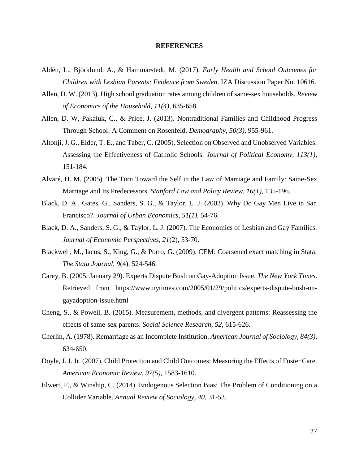#### **REFERENCES**

- Aldén, L., Björklund, A., & Hammarstedt, M. (2017). *Early Health and School Outcomes for Children with Lesbian Parents: Evidence from Sweden*. IZA Discussion Paper No. 10616.
- Allen, D. W. (2013). High school graduation rates among children of same-sex households. *Review of Economics of the Household, 11(4)*, 635-658.
- Allen, D. W, Pakaluk, C., & Price, J. (2013). Nontraditional Families and Childhood Progress Through School: A Comment on Rosenfeld. *Demography, 50(3)*, 955-961.
- Altonji, J. G., Elder, T. E., and Taber, C. (2005). Selection on Observed and Unobserved Variables: Assessing the Effectiveness of Catholic Schools. *Journal of Political Economy, 113(1)*, 151-184.
- Alvaré, H. M. (2005). The Turn Toward the Self in the Law of Marriage and Family: Same-Sex Marriage and Its Predecessors. *Stanford Law and Policy Review, 16(1)*, 135-196.
- Black, D. A., Gates, G., Sanders, S. G., & Taylor, L. J. (2002). Why Do Gay Men Live in San Francisco?. *Journal of Urban Economics, 51(1)*, 54-76.
- Black, D. A., Sanders, S. G., & Taylor, L. J. (2007). The Economics of Lesbian and Gay Families. *Journal of Economic Perspectives, 21*(2), 53-70.
- Blackwell, M., Iacus, S., King, G., & Porro, G. (2009). CEM: Coarsened exact matching in Stata. *The Stata Journal, 9*(4), 524-546.
- Carey, B. (2005, January 29). Experts Dispute Bush on Gay-Adoption Issue. *The New York Times*. Retrieved from https://www.nytimes.com/2005/01/29/politics/experts-dispute-bush-ongayadoption-issue.html
- Cheng, S., & Powell, B. (2015). Measurement, methods, and divergent patterns: Reassessing the effects of same-sex parents. *Social Science Research, 52*, 615-626.
- Cherlin, A. (1978). Remarriage as an Incomplete Institution. *American Journal of Sociology, 84(3)*, 634-650.
- Doyle, J. J. Jr. (2007). Child Protection and Child Outcomes: Measuring the Effects of Foster Care. *American Economic Review, 97(5)*, 1583-1610.
- Elwert, F., & Winship, C. (2014). Endogenous Selection Bias: The Problem of Conditioning on a Collider Variable. *Annual Review of Sociology, 40*, 31-53.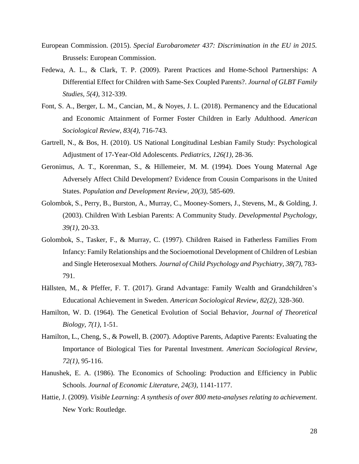- European Commission. (2015). *Special Eurobarometer 437: Discrimination in the EU in 2015.* Brussels: European Commission.
- Fedewa, A. L., & Clark, T. P. (2009). Parent Practices and Home-School Partnerships: A Differential Effect for Children with Same-Sex Coupled Parents?. *Journal of GLBT Family Studies, 5(4)*, 312-339.
- Font, S. A., Berger, L. M., Cancian, M., & Noyes, J. L. (2018). Permanency and the Educational and Economic Attainment of Former Foster Children in Early Adulthood. *American Sociological Review, 83(4)*, 716-743.
- Gartrell, N., & Bos, H. (2010). US National Longitudinal Lesbian Family Study: Psychological Adjustment of 17-Year-Old Adolescents. *Pediatrics, 126(1)*, 28-36.
- Geronimus, A. T., Korenman, S., & Hillemeier, M. M. (1994). Does Young Maternal Age Adversely Affect Child Development? Evidence from Cousin Comparisons in the United States. *Population and Development Review, 20(3)*, 585-609.
- Golombok, S., Perry, B., Burston, A., Murray, C., Mooney-Somers, J., Stevens, M., & Golding, J. (2003). Children With Lesbian Parents: A Community Study. *Developmental Psychology, 39(1)*, 20-33.
- Golombok, S., Tasker, F., & Murray, C. (1997). Children Raised in Fatherless Families From Infancy: Family Relationships and the Socioemotional Development of Children of Lesbian and Single Heterosexual Mothers*. Journal of Child Psychology and Psychiatry, 38(7)*, 783- 791.
- Hällsten, M., & Pfeffer, F. T. (2017). Grand Advantage: Family Wealth and Grandchildren's Educational Achievement in Sweden. *American Sociological Review, 82(2)*, 328-360.
- Hamilton, W. D. (1964). The Genetical Evolution of Social Behavior, *Journal of Theoretical Biology, 7(1)*, 1-51.
- Hamilton, L., Cheng, S., & Powell, B. (2007). Adoptive Parents, Adaptive Parents: Evaluating the Importance of Biological Ties for Parental Investment. *American Sociological Review, 72(1)*, 95-116.
- Hanushek, E. A. (1986). The Economics of Schooling: Production and Efficiency in Public Schools. *Journal of Economic Literature, 24(3)*, 1141-1177.
- Hattie, J. (2009). *Visible Learning: A synthesis of over 800 meta-analyses relating to achievement*. New York: Routledge.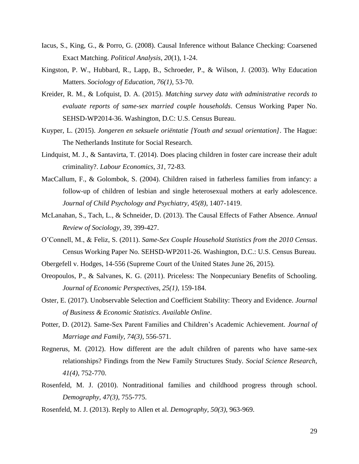- Iacus, S., King, G., & Porro, G. (2008). Causal Inference without Balance Checking: Coarsened Exact Matching. *Political Analysis, 20*(1), 1-24.
- Kingston, P. W., Hubbard, R., Lapp, B., Schroeder, P., & Wilson, J. (2003). Why Education Matters. *Sociology of Education, 76(1)*, 53-70.
- Kreider, R. M., & Lofquist, D. A. (2015). *Matching survey data with administrative records to evaluate reports of same-sex married couple households*. Census Working Paper No. SEHSD-WP2014-36. Washington, D.C: U.S. Census Bureau.
- Kuyper, L. (2015). *Jongeren en seksuele oriëntatie [Youth and sexual orientation]*. The Hague: The Netherlands Institute for Social Research.
- Lindquist, M. J., & Santavirta, T. (2014). Does placing children in foster care increase their adult criminality?. *Labour Economics, 31*, 72-83.
- MacCallum, F., & Golombok, S. (2004). Children raised in fatherless families from infancy: a follow-up of children of lesbian and single heterosexual mothers at early adolescence. *Journal of Child Psychology and Psychiatry, 45(8)*, 1407-1419.
- McLanahan, S., Tach, L., & Schneider, D. (2013). The Causal Effects of Father Absence. *Annual Review of Sociology, 39*, 399-427.
- O'Connell, M., & Feliz, S. (2011). *Same-Sex Couple Household Statistics from the 2010 Census*. Census Working Paper No. SEHSD-WP2011-26. Washington, D.C.: U.S. Census Bureau.
- Obergefell v. Hodges, 14-556 (Supreme Court of the United States June 26, 2015).
- Oreopoulos, P., & Salvanes, K. G. (2011). Priceless: The Nonpecuniary Benefits of Schooling. *Journal of Economic Perspectives, 25(1)*, 159-184.
- Oster, E. (2017). Unobservable Selection and Coefficient Stability: Theory and Evidence. *Journal of Business & Economic Statistics*. *Available Online*.
- Potter, D. (2012). Same-Sex Parent Families and Children's Academic Achievement. *Journal of Marriage and Family, 74(3)*, 556-571.
- Regnerus, M. (2012). How different are the adult children of parents who have same-sex relationships? Findings from the New Family Structures Study. *Social Science Research, 41(4)*, 752-770.
- Rosenfeld, M. J. (2010). Nontraditional families and childhood progress through school. *Demography, 47(3)*, 755-775.
- Rosenfeld, M. J. (2013). Reply to Allen et al. *Demography, 50(3)*, 963-969.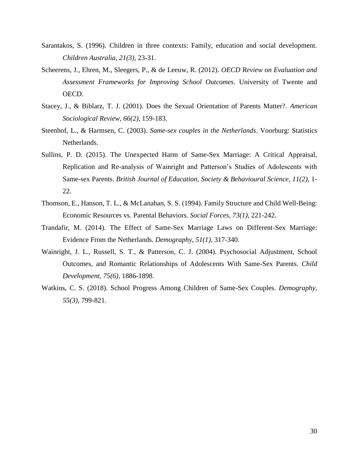- Sarantakos, S. (1996). Children in three contexts: Family, education and social development. *Children Australia, 21(3)*, 23-31.
- Scheerens, J., Ehren, M., Sleegers, P., & de Leeuw, R. (2012). *OECD Review on Evaluation and Assessment Frameworks for Improving School Outcomes*. University of Twente and OECD.
- Stacey, J., & Biblarz, T. J. (2001). Does the Sexual Orientation of Parents Matter?. *American Sociological Review, 66(2)*, 159-183.
- Steenhof, L., & Harmsen, C. (2003). *Same-sex couples in the Netherlands*. Voorburg: Statistics Netherlands.
- Sullins, P. D. (2015). The Unexpected Harm of Same-Sex Marriage: A Critical Appraisal, Replication and Re-analysis of Wainright and Patterson's Studies of Adolescents with Same-sex Parents. *British Journal of Education, Society & Behavioural Science, 11(2)*, 1- 22.
- Thomson, E., Hanson, T. L., & McLanahan, S. S. (1994). Family Structure and Child Well-Being: Economic Resources vs. Parental Behaviors. *Social Forces, 73(1)*, 221-242.
- Trandafir, M. (2014). The Effect of Same-Sex Marriage Laws on Different-Sex Marriage: Evidence From the Netherlands. *Demography, 51(1)*, 317-340.
- Wainright, J. L., Russell, S. T., & Patterson, C. J. (2004). Psychosocial Adjustment, School Outcomes, and Romantic Relationships of Adolescents With Same-Sex Parents. *Child Development, 75(6)*, 1886-1898.
- Watkins, C. S. (2018). School Progress Among Children of Same-Sex Couples. *Demography, 55(3)*, 799-821.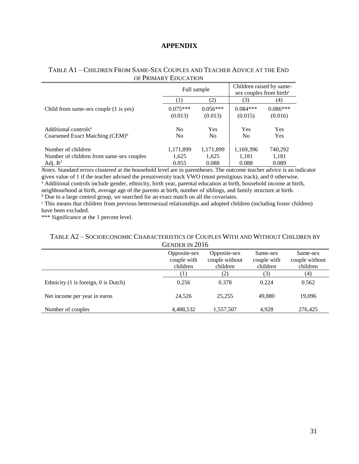## **APPENDIX**

## TABLE A1 – CHILDREN FROM SAME-SEX COUPLES AND TEACHER ADVICE AT THE END OF PRIMARY EDUCATION

|                                             | Full sample    |                | Children raised by same-<br>sex couples from birth <sup>c</sup> |            |
|---------------------------------------------|----------------|----------------|-----------------------------------------------------------------|------------|
|                                             | [1]            | (2)            | (3)                                                             | (4)        |
| Child from same-sex couple (1 is yes)       | $0.075***$     | $0.056***$     | $0.084***$                                                      | $0.086***$ |
|                                             | (0.013)        | (0.013)        | (0.015)                                                         | (0.016)    |
| Additional controls <sup>a</sup>            | N <sub>0</sub> | Yes            | Yes                                                             | Yes        |
| Coarsened Exact Matching (CEM) <sup>b</sup> | N <sub>0</sub> | N <sub>0</sub> | N <sub>0</sub>                                                  | Yes        |
| Number of children                          | 1,171,899      | 1,171,899      | 1,169,396                                                       | 740,292    |
| Number of children from same-sex couples    | 1,625          | 1,625          | 1,181                                                           | 1,181      |
| Adj. $R^2$                                  | 0.055          | 0.088          | 0.088                                                           | 0.089      |

*Notes.* Standard errors clustered at the household level are in parentheses. The outcome teacher advice is an indicator given value of 1 if the teacher advised the preuniversity track VWO (most prestigious track), and 0 otherwise. <sup>a</sup> Additional controls include gender, ethnicity, birth year, parental education at birth, household income at birth, neighbourhood at birth, average age of the parents at birth, number of siblings, and family structure at birth.

<sup>b</sup> Due to a large control group, we searched for an exact match on all the covariates.

<sup>c</sup> This means that children from previous heterosexual relationships and adopted children (including foster children) have been excluded.

\*\*\* Significance at the 1 percent level.

## TABLE A2 – SOCIOECONOMIC CHARACTERISTICS OF COUPLES WITH AND WITHOUT CHILDREN BY GENDER IN 2016

| OLINDEN IN ZOTU                      |                                         |                                            |                                     |                                        |  |
|--------------------------------------|-----------------------------------------|--------------------------------------------|-------------------------------------|----------------------------------------|--|
|                                      | Opposite-sex<br>couple with<br>children | Opposite-sex<br>couple without<br>children | Same-sex<br>couple with<br>children | Same-sex<br>couple without<br>children |  |
|                                      |                                         | (2)                                        | (3)                                 | (4)                                    |  |
| Ethnicity (1 is foreign, 0 is Dutch) | 0.256                                   | 0.378                                      | 0.224                               | 0.562                                  |  |
| Net income per year in euros         | 24.526                                  | 25,255                                     | 49,880                              | 19,096                                 |  |
| Number of couples                    | 4,488,532                               | 1,557,507                                  | 4,928                               | 276,425                                |  |